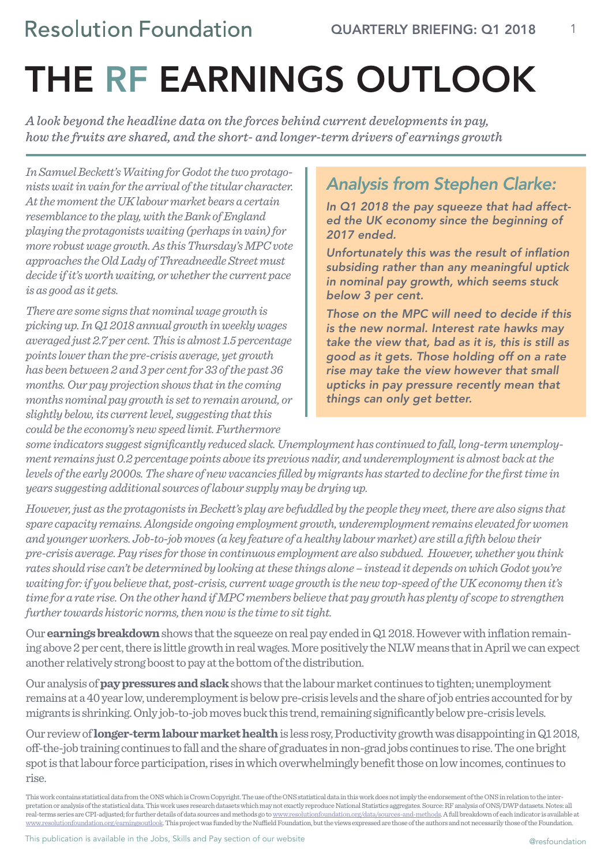1

# THE RF EARNINGS OUTLOOK

*A look beyond the headline data on the forces behind current developments in pay, how the fruits are shared, and the short- and longer-term drivers of earnings growth*

*In Samuel Beckett's Waiting for Godot the two protagonists wait in vain for the arrival of the titular character. At the moment the UK labour market bears a certain resemblance to the play, with the Bank of England playing the protagonists waiting (perhaps in vain) for more robust wage growth. As this Thursday's MPC vote approaches the Old Lady of Threadneedle Street must decide if it's worth waiting, or whether the current pace is as good as it gets.*

*There are some signs that nominal wage growth is picking up. In Q1 2018 annual growth in weekly wages averaged just 2.7 per cent. This is almost 1.5 percentage points lower than the pre-crisis average, yet growth has been between 2 and 3 per cent for 33 of the past 36 months. Our pay projection shows that in the coming months nominal pay growth is set to remain around, or slightly below, its current level, suggesting that this could be the economy's new speed limit. Furthermore* 

### *Analysis from Stephen Clarke:*

*In Q1 2018 the pay squeeze that had affected the UK economy since the beginning of 2017 ended.*

*Unfortunately this was the result of inflation subsiding rather than any meaningful uptick in nominal pay growth, which seems stuck below 3 per cent.* 

*Those on the MPC will need to decide if this is the new normal. Interest rate hawks may take the view that, bad as it is, this is still as good as it gets. Those holding off on a rate rise may take the view however that small upticks in pay pressure recently mean that things can only get better.*

*some indicators suggest significantly reduced slack. Unemployment has continued to fall, long-term unemployment remains just 0.2 percentage points above its previous nadir, and underemployment is almost back at the levels of the early 2000s. The share of new vacancies filled by migrants has started to decline for the first time in years suggesting additional sources of labour supply may be drying up.*

*However, just as the protagonists in Beckett's play are befuddled by the people they meet, there are also signs that spare capacity remains. Alongside ongoing employment growth, underemployment remains elevated for women and younger workers. Job-to-job moves (a key feature of a healthy labour market) are still a fifth below their pre-crisis average. Pay rises for those in continuous employment are also subdued. However, whether you think rates should rise can't be determined by looking at these things alone – instead it depends on which Godot you're waiting for: if you believe that, post-crisis, current wage growth is the new top-speed of the UK economy then it's time for a rate rise. On the other hand if MPC members believe that pay growth has plenty of scope to strengthen further towards historic norms, then now is the time to sit tight.*

Our **earnings breakdown** shows that the squeeze on real pay ended in Q1 2018. However with inflation remaining above 2 per cent, there is little growth in real wages. More positively the NLW means that in April we can expect another relatively strong boost to pay at the bottom of the distribution.

Our analysis of **pay pressures and slack** shows that the labour market continues to tighten; unemployment remains at a 40 year low, underemployment is below pre-crisis levels and the share of job entries accounted for by migrants is shrinking. Only job-to-job moves buck this trend, remaining significantly below pre-crisis levels.

Our review of **longer-term labour market health** is less rosy, Productivity growth was disappointing in Q1 2018, off-the-job training continues to fall and the share of graduates in non-grad jobs continues to rise. The one bright spot is that labour force participation, rises in which overwhelmingly benefit those on low incomes, continues to rise.

This work contains statistical data from the ONS which is Crown Copyright. The use of the ONS statistical data in this work does not imply the endorsement of the ONS in relation to the interpretation or analysis of the statistical data. This work uses research datasets which may not exactly reproduce National Statistics aggregates. Source: RF analysis of ONS/DWP datasets. Notes: all  $\,$ real-terms series are CPI-adjusted; for further details of data sources and methods go to www.resolutionfoundation.org/data/sources-and-methods. A full breakdown of each indicator is available at www.resolutionfoundation.org/earningsoutlook. This project was funded by the Nuffield Foundation, but the views expressed are those of the authors and not necessarily those of the Foundation.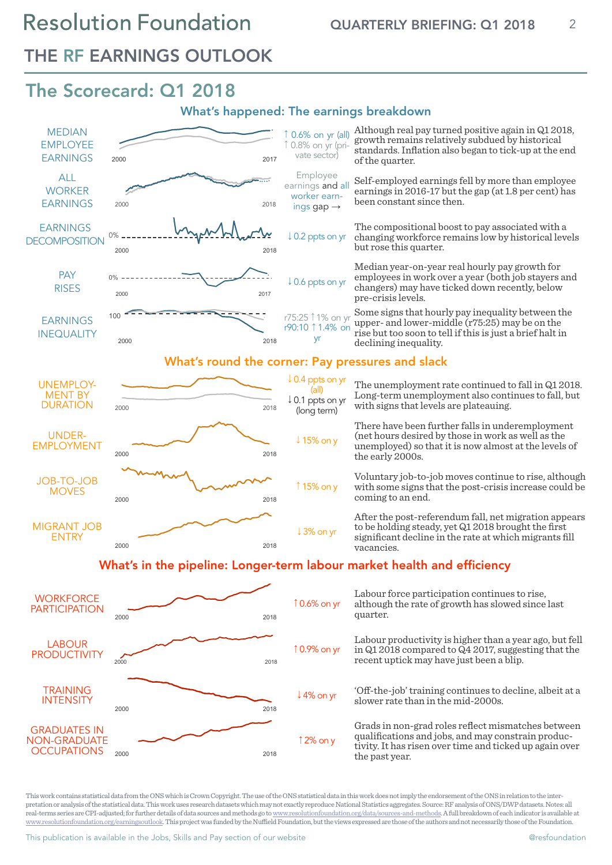### THE RF EARNINGS OUTLOOK

### The Scorecard: Q1 2018

#### What's happened: The earnings breakdown



This work contains statistical data from the ONS which is Crown Copyright. The use of the ONS statistical data in this work does not imply the endorsement of the ONS in relation to the interpretation or analysis of the statistical data. This work uses research datasets which may not exactly reproduce National Statistics aggregates. Source: RF analysis of ONS/DWP datasets. Notes: all real-terms series are CPI-adjusted; for further details of data sources and methods go to www.resolutionfoundation.org/data/sources-and-methods.A full breakdown of each indicator is available at www.resolutionfoundation.org/earningsoutlook. This project was funded by the Nuffield Foundation, but the views expressed are those of the authors and not necessarily those of the Foundation.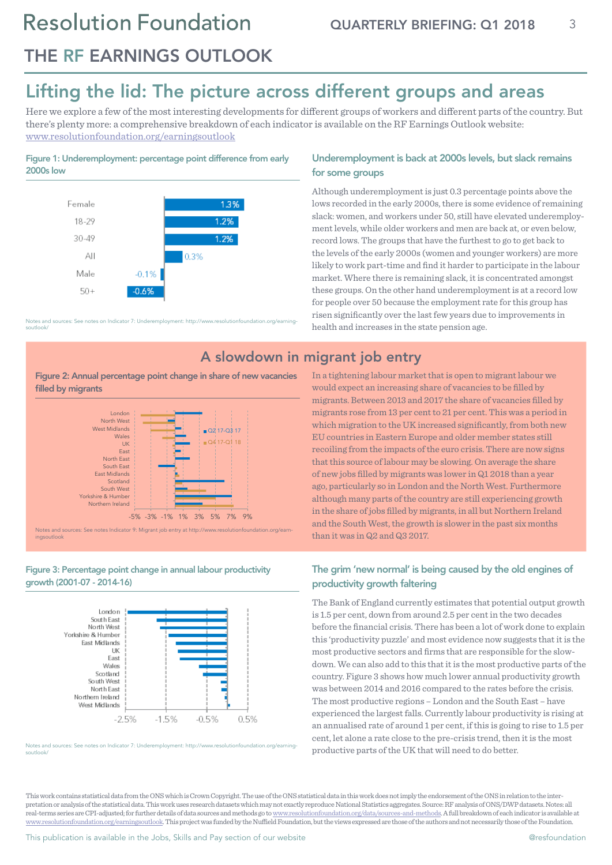### THE RF EARNINGS OUTLOOK

### Lifting the lid: The picture across different groups and areas

Here we explore a few of the most interesting developments for different groups of workers and different parts of the country. But there's plenty more: a comprehensive breakdown of each indicator is available on the RF Earnings Outlook website: www.resolutionfoundation.org/earningsoutlook

#### Figure 1: Underemployment: percentage point difference from early 2000s low



Notes and sources: See notes on Indicator 7: Underemployment: http://www.resolutionfoundation.org/earningsoutlook/

Figure 2: Annual percentage point change in share of new vacancies filled by migrants



Figure 3: Percentage point change in annual labour productivity growth (2001-07 - 2014-16)



Notes and sources: See notes on Indicator 7: Underemployment: http://www.resolutionfoundation.org/earningsoutlook/

#### Underemployment is back at 2000s levels, but slack remains for some groups

Although underemployment is just 0.3 percentage points above the lows recorded in the early 2000s, there is some evidence of remaining slack: women, and workers under 50, still have elevated underemployment levels, while older workers and men are back at, or even below, record lows. The groups that have the furthest to go to get back to the levels of the early 2000s (women and younger workers) are more likely to work part-time and find it harder to participate in the labour market. Where there is remaining slack, it is concentrated amongst these groups. On the other hand underemployment is at a record low for people over 50 because the employment rate for this group has risen significantly over the last few years due to improvements in health and increases in the state pension age.

### A slowdown in migrant job entry

In a tightening labour market that is open to migrant labour we would expect an increasing share of vacancies to be filled by migrants. Between 2013 and 2017 the share of vacancies filled by migrants rose from 13 per cent to 21 per cent. This was a period in which migration to the UK increased significantly, from both new EU countries in Eastern Europe and older member states still recoiling from the impacts of the euro crisis. There are now signs that this source of labour may be slowing. On average the share of new jobs filled by migrants was lower in Q1 2018 than a year ago, particularly so in London and the North West. Furthermore although many parts of the country are still experiencing growth in the share of jobs filled by migrants, in all but Northern Ireland and the South West, the growth is slower in the past six months than it was in Q2 and Q3 2017.

#### The grim 'new normal' is being caused by the old engines of productivity growth faltering

The Bank of England currently estimates that potential output growth is 1.5 per cent, down from around 2.5 per cent in the two decades before the financial crisis. There has been a lot of work done to explain this 'productivity puzzle' and most evidence now suggests that it is the most productive sectors and firms that are responsible for the slowdown. We can also add to this that it is the most productive parts of the country. Figure 3 shows how much lower annual productivity growth was between 2014 and 2016 compared to the rates before the crisis. The most productive regions – London and the South East – have experienced the largest falls. Currently labour productivity is rising at an annualised rate of around 1 per cent, if this is going to rise to 1.5 per cent, let alone a rate close to the pre-crisis trend, then it is the most productive parts of the UK that will need to do better.

This work contains statistical data from the ONS which is Crown Copyright. The use of the ONS statistical data in this work does not imply the endorsement of the ONS in relation to the interpretation or analysis of the statistical data. This work uses research datasets which may not exactly reproduce National Statistics aggregates. Source: RF analysis of ONS/DWP datasets. Notes: all real-terms series are CPI-adjusted; for further details of data sources and methods go to www.resolutionfoundation.org/data/sources-and-methods.A full breakdown of each indicator is available at www.resolutionfoundation.org/earningsoutlook. This project was funded by the Nuffield Foundation, but the views expressed are those of the authors and not necessarily those of the Foundation.